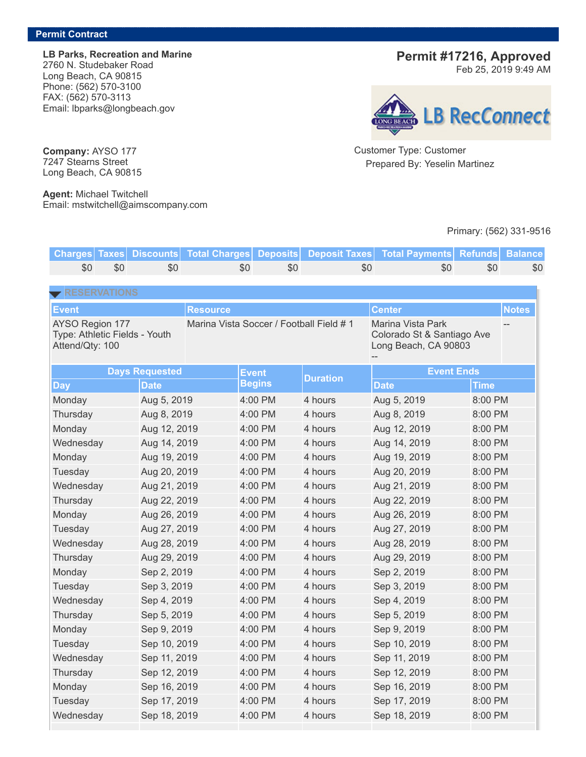**LB Parks, Recreation and Marine** 2760 N. Studebaker Road Long Beach, CA 90815 Phone: (562) 570-3100 FAX: (562) 570-3113 Email: lbparks@longbeach.gov

## **Permit #17216, Approved**

Feb 25, 2019 9:49 AM



Customer Type: Customer Prepared By: Yeselin Martinez

## Primary: (562) 331-9516

**Charges Taxes Discounts Total Charges Deposits Deposit Taxes Total Payments Refunds Balance** \$0 \$0 \$0 \$0 \$0 \$0 \$0 \$0 \$0 **Event Resource Center Notes** AYSO Region 177 Type: Athletic Fields - Youth Attend/Qty: 100 Marina Vista Soccer / Football Field # 1 Marina Vista Park Colorado St & Santiago Ave Long Beach, CA 90803 -- -- **Days** Requested **Event Begins Duration Event Ends Day Date Date Time** Monday Aug 5, 2019 4:00 PM 4 hours Aug 5, 2019 8:00 PM Thursday Aug 8, 2019 4:00 PM 4 hours Aug 8, 2019 8:00 PM Monday Aug 12, 2019 4:00 PM 4 hours Aug 12, 2019 8:00 PM Wednesday Aug 14, 2019 4:00 PM 4 hours Aug 14, 2019 8:00 PM Monday Aug 19, 2019 4:00 PM 4 hours Aug 19, 2019 8:00 PM Tuesday Aug 20, 2019 4:00 PM 4 hours Aug 20, 2019 8:00 PM Wednesday Aug 21, 2019 4:00 PM 4 hours Aug 21, 2019 8:00 PM Thursday Aug 22, 2019 4:00 PM 4 hours Aug 22, 2019 8:00 PM Monday Aug 26, 2019 4:00 PM 4 hours Aug 26, 2019 8:00 PM Tuesday Aug 27, 2019 4:00 PM 4 hours Aug 27, 2019 8:00 PM Wednesday Aug 28, 2019 4:00 PM 4 hours Aug 28, 2019 8:00 PM Thursday Aug 29, 2019 4:00 PM 4 hours Aug 29, 2019 8:00 PM Monday Sep 2, 2019 4:00 PM 4 hours Sep 2, 2019 8:00 PM Tuesday Sep 3, 2019 4:00 PM 4 hours Sep 3, 2019 8:00 PM Wednesday Sep 4, 2019 4:00 PM 4 hours Sep 4, 2019 8:00 PM Thursday Sep 5, 2019 4:00 PM 4 hours Sep 5, 2019 8:00 PM Monday Sep 9, 2019 4:00 PM 4 hours Sep 9, 2019 8:00 PM Tuesday Sep 10, 2019 4:00 PM 4 hours Sep 10, 2019 8:00 PM Wednesday Sep 11, 2019 4:00 PM 4 hours Sep 11, 2019 8:00 PM Thursday Sep 12, 2019 4:00 PM 4 hours Sep 12, 2019 8:00 PM Monday 6. Sep 16, 2019 4:00 PM 4 hours Sep 16, 2019 8:00 PM Tuesday Sep 17, 2019 4:00 PM 4 hours Sep 17, 2019 8:00 PM Wednesday Sep 18, 2019 4:00 PM 4 hours Sep 18, 2019 8:00 PM

**Company:** AYSO 177 7247 Stearns Street Long Beach, CA 90815

**Agent:** Michael Twitchell Email: mstwitchell@aimscompany.com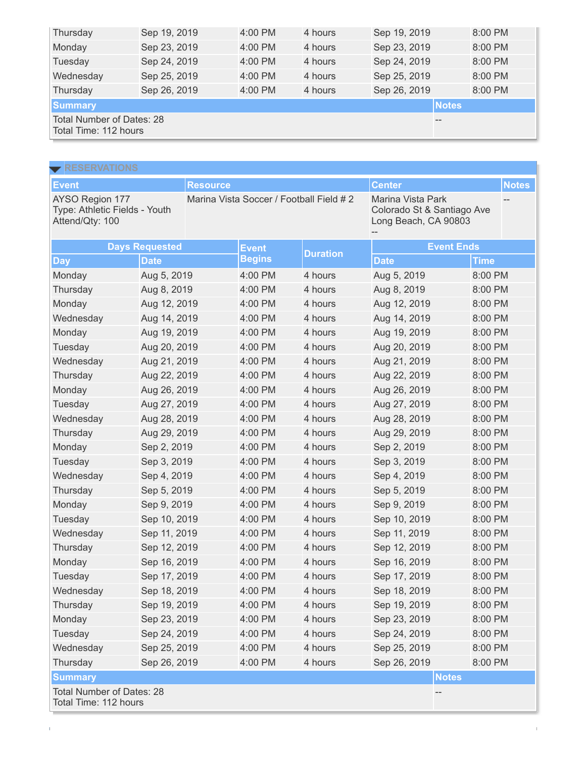| Thursday                                           | Sep 19, 2019 | $4:00$ PM | 4 hours | Sep 19, 2019 |  | 8:00 PM |
|----------------------------------------------------|--------------|-----------|---------|--------------|--|---------|
| Monday                                             | Sep 23, 2019 | $4:00$ PM | 4 hours | Sep 23, 2019 |  | 8:00 PM |
| Tuesday                                            | Sep 24, 2019 | $4:00$ PM | 4 hours | Sep 24, 2019 |  | 8:00 PM |
| Wednesday                                          | Sep 25, 2019 | $4:00$ PM | 4 hours | Sep 25, 2019 |  | 8:00 PM |
| Thursday                                           | Sep 26, 2019 | $4:00$ PM | 4 hours | Sep 26, 2019 |  | 8:00 PM |
| <b>Summary</b><br><b>Notes</b>                     |              |           |         |              |  |         |
| Total Number of Dates: 28<br>Total Time: 112 hours |              |           |         |              |  |         |

| <b>RESERVATIONS</b>                                                 |              |                 |                                         |                 |                                                                         |         |              |
|---------------------------------------------------------------------|--------------|-----------------|-----------------------------------------|-----------------|-------------------------------------------------------------------------|---------|--------------|
| <b>Event</b>                                                        |              | <b>Resource</b> |                                         |                 | <b>Center</b>                                                           |         | <b>Notes</b> |
| AYSO Region 177<br>Type: Athletic Fields - Youth<br>Attend/Qty: 100 |              |                 | Marina Vista Soccer / Football Field #2 |                 | Marina Vista Park<br>Colorado St & Santiago Ave<br>Long Beach, CA 90803 |         |              |
| <b>Days Requested</b>                                               |              |                 | <b>Event</b>                            | <b>Duration</b> | <b>Event Ends</b>                                                       |         |              |
| <b>Day</b>                                                          | <b>Date</b>  |                 | <b>Begins</b>                           |                 | <b>Date</b>                                                             | Time    |              |
| Monday                                                              | Aug 5, 2019  |                 | 4:00 PM                                 | 4 hours         | Aug 5, 2019                                                             | 8:00 PM |              |
| Thursday                                                            | Aug 8, 2019  |                 | 4:00 PM                                 | 4 hours         | Aug 8, 2019                                                             | 8:00 PM |              |
| Monday                                                              | Aug 12, 2019 |                 | 4:00 PM                                 | 4 hours         | Aug 12, 2019                                                            | 8:00 PM |              |
| Wednesday                                                           | Aug 14, 2019 |                 | 4:00 PM                                 | 4 hours         | Aug 14, 2019                                                            | 8:00 PM |              |
| Monday                                                              | Aug 19, 2019 |                 | 4:00 PM                                 | 4 hours         | Aug 19, 2019                                                            | 8:00 PM |              |
| Tuesday                                                             | Aug 20, 2019 |                 | 4:00 PM                                 | 4 hours         | Aug 20, 2019                                                            | 8:00 PM |              |
| Wednesday                                                           | Aug 21, 2019 |                 | 4:00 PM                                 | 4 hours         | Aug 21, 2019                                                            | 8:00 PM |              |
| Thursday                                                            | Aug 22, 2019 |                 | 4:00 PM                                 | 4 hours         | Aug 22, 2019                                                            | 8:00 PM |              |
| Monday                                                              | Aug 26, 2019 |                 | 4:00 PM                                 | 4 hours         | Aug 26, 2019                                                            | 8:00 PM |              |
| Tuesday                                                             | Aug 27, 2019 |                 | 4:00 PM                                 | 4 hours         | Aug 27, 2019                                                            | 8:00 PM |              |
| Wednesday                                                           | Aug 28, 2019 |                 | 4:00 PM                                 | 4 hours         | Aug 28, 2019                                                            | 8:00 PM |              |
| Thursday                                                            | Aug 29, 2019 |                 | 4:00 PM                                 | 4 hours         | Aug 29, 2019                                                            | 8:00 PM |              |
| Monday                                                              | Sep 2, 2019  |                 | 4:00 PM                                 | 4 hours         | Sep 2, 2019                                                             | 8:00 PM |              |
| Tuesday                                                             | Sep 3, 2019  |                 | 4:00 PM                                 | 4 hours         | Sep 3, 2019                                                             | 8:00 PM |              |
| Wednesday                                                           | Sep 4, 2019  |                 | 4:00 PM                                 | 4 hours         | Sep 4, 2019                                                             | 8:00 PM |              |
| Thursday                                                            | Sep 5, 2019  |                 | 4:00 PM                                 | 4 hours         | Sep 5, 2019                                                             | 8:00 PM |              |
| Monday                                                              | Sep 9, 2019  |                 | 4:00 PM                                 | 4 hours         | Sep 9, 2019                                                             | 8:00 PM |              |
| Tuesday                                                             | Sep 10, 2019 |                 | 4:00 PM                                 | 4 hours         | Sep 10, 2019                                                            | 8:00 PM |              |
| Wednesday                                                           | Sep 11, 2019 |                 | 4:00 PM                                 | 4 hours         | Sep 11, 2019                                                            | 8:00 PM |              |
| Thursday                                                            | Sep 12, 2019 |                 | 4:00 PM                                 | 4 hours         | Sep 12, 2019                                                            | 8:00 PM |              |
| Monday                                                              | Sep 16, 2019 |                 | 4:00 PM                                 | 4 hours         | Sep 16, 2019                                                            | 8:00 PM |              |
| Tuesday                                                             | Sep 17, 2019 |                 | 4:00 PM                                 | 4 hours         | Sep 17, 2019                                                            | 8:00 PM |              |
| Wednesday                                                           | Sep 18, 2019 |                 | 4:00 PM                                 | 4 hours         | Sep 18, 2019                                                            | 8:00 PM |              |
| Thursday                                                            | Sep 19, 2019 |                 | 4:00 PM                                 | 4 hours         | Sep 19, 2019                                                            | 8:00 PM |              |
| Monday                                                              | Sep 23, 2019 |                 | 4:00 PM                                 | 4 hours         | Sep 23, 2019                                                            | 8:00 PM |              |
| Tuesday                                                             | Sep 24, 2019 |                 | 4:00 PM                                 | 4 hours         | Sep 24, 2019                                                            | 8:00 PM |              |
| Wednesday                                                           | Sep 25, 2019 |                 | 4:00 PM                                 | 4 hours         | Sep 25, 2019                                                            | 8:00 PM |              |
| Thursday                                                            | Sep 26, 2019 |                 | 4:00 PM                                 | 4 hours         | Sep 26, 2019                                                            | 8:00 PM |              |
| <b>Summary</b>                                                      |              |                 |                                         |                 | <b>Notes</b>                                                            |         |              |
| <b>Total Number of Dates: 28</b><br>Total Time: 112 hours           |              |                 |                                         |                 |                                                                         |         |              |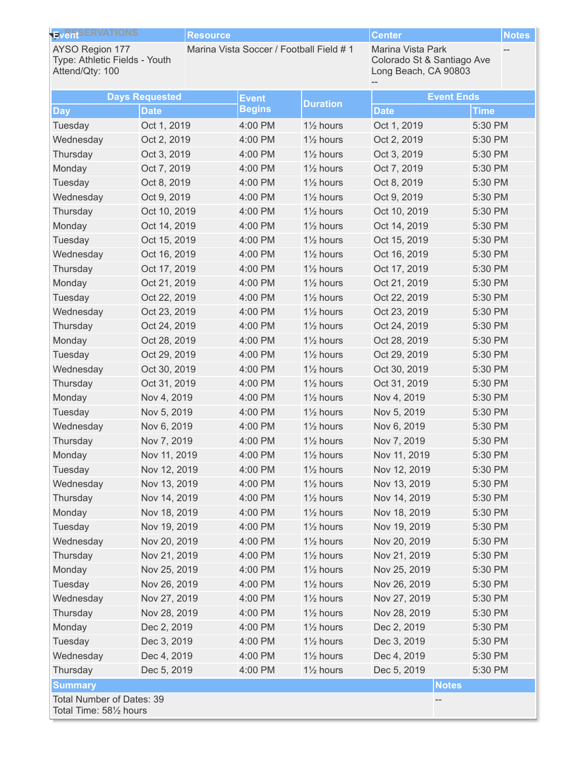| <b>EVERSERVATIONS</b>                                                      |                       | <b>Resource</b>                         |               |                                     | <b>Center</b>                                                           |             | <b>Notes</b> |
|----------------------------------------------------------------------------|-----------------------|-----------------------------------------|---------------|-------------------------------------|-------------------------------------------------------------------------|-------------|--------------|
| <b>AYSO Region 177</b><br>Type: Athletic Fields - Youth<br>Attend/Qty: 100 |                       | Marina Vista Soccer / Football Field #1 |               |                                     | Marina Vista Park<br>Colorado St & Santiago Ave<br>Long Beach, CA 90803 |             |              |
|                                                                            | <b>Days Requested</b> |                                         | <b>Event</b>  |                                     | <b>Event Ends</b>                                                       |             |              |
| <b>Day</b>                                                                 | <b>Date</b>           |                                         | <b>Begins</b> | <b>Duration</b>                     | <b>Date</b>                                                             | <b>Time</b> |              |
| Tuesday                                                                    | Oct 1, 2019           |                                         | 4:00 PM       | 1 <sup>1/2</sup> hours              | Oct 1, 2019                                                             | 5:30 PM     |              |
| Wednesday                                                                  | Oct 2, 2019           |                                         | 4:00 PM       | 11/ <sub>2</sub> hours              | Oct 2, 2019                                                             | 5:30 PM     |              |
| Thursday                                                                   | Oct 3, 2019           |                                         | 4:00 PM       | 1 <sup>1/2</sup> hours              | Oct 3, 2019                                                             | 5:30 PM     |              |
| Monday                                                                     | Oct 7, 2019           |                                         | 4:00 PM       | 1 <sup>1</sup> / <sub>2</sub> hours | Oct 7, 2019                                                             | 5:30 PM     |              |
| Tuesday                                                                    | Oct 8, 2019           |                                         | 4:00 PM       | 1 <sup>1/2</sup> hours              | Oct 8, 2019                                                             | 5:30 PM     |              |
| Wednesday                                                                  | Oct 9, 2019           |                                         | 4:00 PM       | 1 <sup>1</sup> / <sub>2</sub> hours | Oct 9, 2019                                                             | 5:30 PM     |              |
| Thursday                                                                   | Oct 10, 2019          |                                         | 4:00 PM       | 1 <sup>1/2</sup> hours              | Oct 10, 2019                                                            | 5:30 PM     |              |
| Monday                                                                     | Oct 14, 2019          |                                         | 4:00 PM       | 1 <sup>1</sup> / <sub>2</sub> hours | Oct 14, 2019                                                            | 5:30 PM     |              |
| Tuesday                                                                    | Oct 15, 2019          |                                         | 4:00 PM       | $1\frac{1}{2}$ hours                | Oct 15, 2019                                                            | 5:30 PM     |              |
| Wednesday                                                                  | Oct 16, 2019          |                                         | 4:00 PM       | 1 <sup>1</sup> / <sub>2</sub> hours | Oct 16, 2019                                                            | 5:30 PM     |              |
| Thursday                                                                   | Oct 17, 2019          |                                         | 4:00 PM       | 1 <sup>1/2</sup> hours              | Oct 17, 2019                                                            | 5:30 PM     |              |
| Monday                                                                     | Oct 21, 2019          |                                         | 4:00 PM       | 1 <sup>1</sup> / <sub>2</sub> hours | Oct 21, 2019                                                            | 5:30 PM     |              |
| Tuesday                                                                    | Oct 22, 2019          |                                         | 4:00 PM       | $1\frac{1}{2}$ hours                | Oct 22, 2019                                                            | 5:30 PM     |              |
| Wednesday                                                                  | Oct 23, 2019          |                                         | 4:00 PM       | 1 <sup>1</sup> / <sub>2</sub> hours | Oct 23, 2019                                                            | 5:30 PM     |              |
| Thursday                                                                   | Oct 24, 2019          |                                         | 4:00 PM       | 1 <sup>1/2</sup> hours              | Oct 24, 2019                                                            | 5:30 PM     |              |
| Monday                                                                     | Oct 28, 2019          |                                         | 4:00 PM       | 11/ <sub>2</sub> hours              | Oct 28, 2019                                                            | 5:30 PM     |              |
| Tuesday                                                                    | Oct 29, 2019          |                                         | 4:00 PM       | $1\frac{1}{2}$ hours                | Oct 29, 2019                                                            | 5:30 PM     |              |
| Wednesday                                                                  | Oct 30, 2019          |                                         | 4:00 PM       | 1 <sup>1</sup> / <sub>2</sub> hours | Oct 30, 2019                                                            | 5:30 PM     |              |
| Thursday                                                                   | Oct 31, 2019          |                                         | 4:00 PM       | 1 <sup>1/2</sup> hours              | Oct 31, 2019                                                            | 5:30 PM     |              |
| Monday                                                                     | Nov 4, 2019           |                                         | 4:00 PM       | 1 <sup>1</sup> / <sub>2</sub> hours | Nov 4, 2019                                                             | 5:30 PM     |              |
| Tuesday                                                                    | Nov 5, 2019           |                                         | 4:00 PM       | 1 <sup>1/2</sup> hours              | Nov 5, 2019                                                             | 5:30 PM     |              |
| Wednesday                                                                  | Nov 6, 2019           |                                         | 4:00 PM       | 11/ <sub>2</sub> hours              | Nov 6, 2019                                                             | 5:30 PM     |              |
| Thursday                                                                   | Nov 7, 2019           |                                         | 4:00 PM       | 11/ <sub>2</sub> hours              | Nov 7, 2019                                                             | 5:30 PM     |              |
| Monday                                                                     | Nov 11, 2019          |                                         | 4:00 PM       | 11/ <sub>2</sub> hours              | Nov 11, 2019                                                            | 5:30 PM     |              |
| Tuesday                                                                    | Nov 12, 2019          |                                         | 4:00 PM       | $1\frac{1}{2}$ hours                | Nov 12, 2019                                                            | 5:30 PM     |              |
| Wednesday                                                                  | Nov 13, 2019          |                                         | 4:00 PM       | 11/ <sub>2</sub> hours              | Nov 13, 2019                                                            | 5:30 PM     |              |
| Thursday                                                                   | Nov 14, 2019          |                                         | 4:00 PM       | $1\frac{1}{2}$ hours                | Nov 14, 2019                                                            | 5:30 PM     |              |
| Monday                                                                     | Nov 18, 2019          |                                         | 4:00 PM       | 11/ <sub>2</sub> hours              | Nov 18, 2019                                                            | 5:30 PM     |              |
| Tuesday                                                                    | Nov 19, 2019          |                                         | 4:00 PM       | $1\frac{1}{2}$ hours                | Nov 19, 2019                                                            | 5:30 PM     |              |
| Wednesday                                                                  | Nov 20, 2019          |                                         | 4:00 PM       | 11/ <sub>2</sub> hours              | Nov 20, 2019                                                            | 5:30 PM     |              |
| Thursday                                                                   | Nov 21, 2019          |                                         | 4:00 PM       | $1\frac{1}{2}$ hours                | Nov 21, 2019                                                            | 5:30 PM     |              |
| Monday                                                                     | Nov 25, 2019          |                                         | 4:00 PM       | 1 <sup>1/2</sup> hours              | Nov 25, 2019                                                            | 5:30 PM     |              |
| Tuesday                                                                    | Nov 26, 2019          |                                         | 4:00 PM       | $1\frac{1}{2}$ hours                | Nov 26, 2019                                                            | 5:30 PM     |              |
| Wednesday                                                                  | Nov 27, 2019          |                                         | 4:00 PM       | 11/ <sub>2</sub> hours              | Nov 27, 2019                                                            | 5:30 PM     |              |
| Thursday                                                                   | Nov 28, 2019          |                                         | 4:00 PM       | $1\frac{1}{2}$ hours                | Nov 28, 2019                                                            | 5:30 PM     |              |
| Monday                                                                     | Dec 2, 2019           |                                         | 4:00 PM       | 1 <sup>1/2</sup> hours              | Dec 2, 2019                                                             | 5:30 PM     |              |
| Tuesday                                                                    | Dec 3, 2019           |                                         | 4:00 PM       | $1\frac{1}{2}$ hours                | Dec 3, 2019                                                             | 5:30 PM     |              |
| Wednesday                                                                  | Dec 4, 2019           |                                         | 4:00 PM       | 11/ <sub>2</sub> hours              | Dec 4, 2019                                                             | 5:30 PM     |              |
| Thursday                                                                   | Dec 5, 2019           |                                         | 4:00 PM       | $1\frac{1}{2}$ hours                | Dec 5, 2019                                                             | 5:30 PM     |              |
| <b>Summary</b>                                                             |                       |                                         |               |                                     | <b>Notes</b>                                                            |             |              |
| Total Number of Dates: 39<br>Total Time: 581/2 hours                       |                       |                                         |               |                                     |                                                                         |             |              |
|                                                                            |                       |                                         |               |                                     |                                                                         |             |              |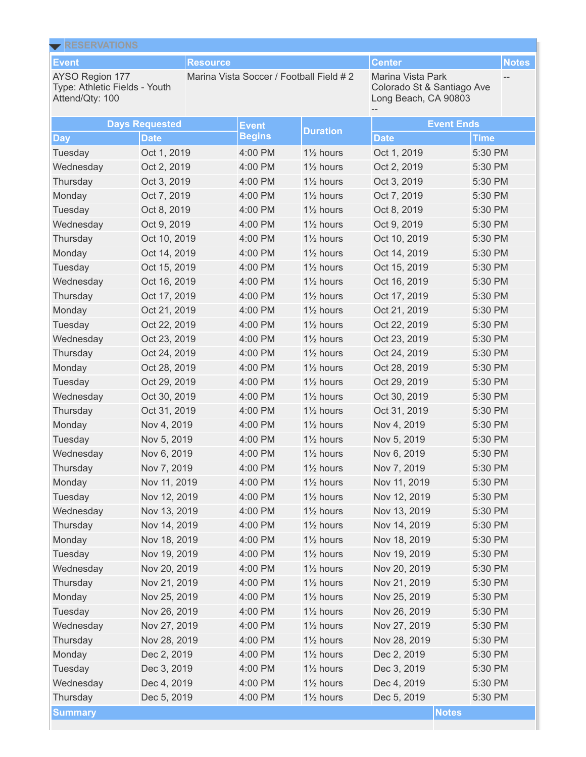| <b>KESERVAIIUNS</b><br><b>Event</b>                                 |                       | <b>Resource</b> |                                         |                        | <b>Center</b>                                                           |             | <b>Notes</b> |
|---------------------------------------------------------------------|-----------------------|-----------------|-----------------------------------------|------------------------|-------------------------------------------------------------------------|-------------|--------------|
| AYSO Region 177<br>Type: Athletic Fields - Youth<br>Attend/Qty: 100 |                       |                 | Marina Vista Soccer / Football Field #2 |                        | Marina Vista Park<br>Colorado St & Santiago Ave<br>Long Beach, CA 90803 |             |              |
|                                                                     | <b>Days Requested</b> |                 | <b>Event</b>                            | <b>Duration</b>        | <b>Event Ends</b>                                                       |             |              |
| <b>Day</b>                                                          | <b>Date</b>           |                 | <b>Begins</b>                           |                        | <b>Date</b>                                                             | <b>Time</b> |              |
| Tuesday                                                             | Oct 1, 2019           |                 | 4:00 PM                                 | 1 <sup>1/2</sup> hours | Oct 1, 2019                                                             | 5:30 PM     |              |
| Wednesday                                                           | Oct 2, 2019           |                 | 4:00 PM                                 | 11/ <sub>2</sub> hours | Oct 2, 2019                                                             | 5:30 PM     |              |
| Thursday                                                            | Oct 3, 2019           |                 | 4:00 PM                                 | 11/ <sub>2</sub> hours | Oct 3, 2019                                                             | 5:30 PM     |              |
| Monday                                                              | Oct 7, 2019           |                 | 4:00 PM                                 | 11/ <sub>2</sub> hours | Oct 7, 2019                                                             | 5:30 PM     |              |
| Tuesday                                                             | Oct 8, 2019           |                 | 4:00 PM                                 | 1 <sup>1/2</sup> hours | Oct 8, 2019                                                             | 5:30 PM     |              |
| Wednesday                                                           | Oct 9, 2019           |                 | 4:00 PM                                 | 11/ <sub>2</sub> hours | Oct 9, 2019                                                             | 5:30 PM     |              |
| Thursday                                                            | Oct 10, 2019          |                 | 4:00 PM                                 | 11/ <sub>2</sub> hours | Oct 10, 2019                                                            | 5:30 PM     |              |
| Monday                                                              | Oct 14, 2019          |                 | 4:00 PM                                 | 11/ <sub>2</sub> hours | Oct 14, 2019                                                            | 5:30 PM     |              |
| Tuesday                                                             | Oct 15, 2019          |                 | 4:00 PM                                 | 1 <sup>1/2</sup> hours | Oct 15, 2019                                                            | 5:30 PM     |              |
| Wednesday                                                           | Oct 16, 2019          |                 | 4:00 PM                                 | 11/ <sub>2</sub> hours | Oct 16, 2019                                                            | 5:30 PM     |              |
| Thursday                                                            | Oct 17, 2019          |                 | 4:00 PM                                 | 11/ <sub>2</sub> hours | Oct 17, 2019                                                            | 5:30 PM     |              |
| Monday                                                              | Oct 21, 2019          |                 | 4:00 PM                                 | 11/ <sub>2</sub> hours | Oct 21, 2019                                                            | 5:30 PM     |              |
| Tuesday                                                             | Oct 22, 2019          |                 | 4:00 PM                                 | 1 <sup>1/2</sup> hours | Oct 22, 2019                                                            | 5:30 PM     |              |
| Wednesday                                                           | Oct 23, 2019          |                 | 4:00 PM                                 | 11/ <sub>2</sub> hours | Oct 23, 2019                                                            | 5:30 PM     |              |
| Thursday                                                            | Oct 24, 2019          |                 | 4:00 PM                                 | 11/ <sub>2</sub> hours | Oct 24, 2019                                                            | 5:30 PM     |              |
| Monday                                                              | Oct 28, 2019          |                 | 4:00 PM                                 | 11/ <sub>2</sub> hours | Oct 28, 2019                                                            | 5:30 PM     |              |
| Tuesday                                                             | Oct 29, 2019          |                 | 4:00 PM                                 | 1 <sup>1/2</sup> hours | Oct 29, 2019                                                            | 5:30 PM     |              |
| Wednesday                                                           | Oct 30, 2019          |                 | 4:00 PM                                 | 11/ <sub>2</sub> hours | Oct 30, 2019                                                            | 5:30 PM     |              |
| Thursday                                                            | Oct 31, 2019          |                 | 4:00 PM                                 | 11/ <sub>2</sub> hours | Oct 31, 2019                                                            | 5:30 PM     |              |
| Monday                                                              | Nov 4, 2019           |                 | 4:00 PM                                 | 11/ <sub>2</sub> hours | Nov 4, 2019                                                             | 5:30 PM     |              |
| Tuesday                                                             | Nov 5, 2019           |                 | 4:00 PM                                 | 1 <sup>1/2</sup> hours | Nov 5, 2019                                                             | 5:30 PM     |              |
| Wednesday                                                           | Nov 6, 2019           |                 | 4:00 PM                                 | 11/ <sub>2</sub> hours | Nov 6, 2019                                                             | 5:30 PM     |              |
| Thursday                                                            | Nov 7, 2019           |                 | 4:00 PM                                 | 1 <sup>1/2</sup> hours | Nov 7, 2019                                                             | 5:30 PM     |              |
| Monday                                                              | Nov 11, 2019          |                 | 4:00 PM                                 | 11/ <sub>2</sub> hours | Nov 11, 2019                                                            | 5:30 PM     |              |
| Tuesday                                                             | Nov 12, 2019          |                 | 4:00 PM                                 | 11/ <sub>2</sub> hours | Nov 12, 2019                                                            | 5:30 PM     |              |
| Wednesday                                                           | Nov 13, 2019          |                 | 4:00 PM                                 | 11/ <sub>2</sub> hours | Nov 13, 2019                                                            | 5:30 PM     |              |
| Thursday                                                            | Nov 14, 2019          |                 | 4:00 PM                                 | $1\frac{1}{2}$ hours   | Nov 14, 2019                                                            | 5:30 PM     |              |
| Monday                                                              | Nov 18, 2019          |                 | 4:00 PM                                 | 11/ <sub>2</sub> hours | Nov 18, 2019                                                            | 5:30 PM     |              |
| Tuesday                                                             | Nov 19, 2019          |                 | 4:00 PM                                 | 11/ <sub>2</sub> hours | Nov 19, 2019                                                            | 5:30 PM     |              |
| Wednesday                                                           | Nov 20, 2019          |                 | 4:00 PM                                 | 11/ <sub>2</sub> hours | Nov 20, 2019                                                            | 5:30 PM     |              |
| Thursday                                                            | Nov 21, 2019          |                 | 4:00 PM                                 | $1\frac{1}{2}$ hours   | Nov 21, 2019                                                            | 5:30 PM     |              |
| Monday                                                              | Nov 25, 2019          |                 | 4:00 PM                                 | 11/ <sub>2</sub> hours | Nov 25, 2019                                                            | 5:30 PM     |              |
| Tuesday                                                             | Nov 26, 2019          |                 | 4:00 PM                                 | 11/ <sub>2</sub> hours | Nov 26, 2019                                                            | 5:30 PM     |              |
| Wednesday                                                           | Nov 27, 2019          |                 | 4:00 PM                                 | 11/ <sub>2</sub> hours | Nov 27, 2019                                                            | 5:30 PM     |              |
| Thursday                                                            | Nov 28, 2019          |                 | 4:00 PM                                 | $1\frac{1}{2}$ hours   | Nov 28, 2019                                                            | 5:30 PM     |              |
| Monday                                                              | Dec 2, 2019           |                 | 4:00 PM                                 | 11/ <sub>2</sub> hours | Dec 2, 2019                                                             | 5:30 PM     |              |
| Tuesday                                                             | Dec 3, 2019           |                 | 4:00 PM                                 | 11/ <sub>2</sub> hours | Dec 3, 2019                                                             | 5:30 PM     |              |
| Wednesday                                                           | Dec 4, 2019           |                 | 4:00 PM                                 | 11/ <sub>2</sub> hours | Dec 4, 2019                                                             | 5:30 PM     |              |
| Thursday                                                            | Dec 5, 2019           |                 | 4:00 PM                                 | 11/ <sub>2</sub> hours | Dec 5, 2019                                                             | 5:30 PM     |              |
| <b>Summary</b>                                                      |                       |                 |                                         |                        | <b>Notes</b>                                                            |             |              |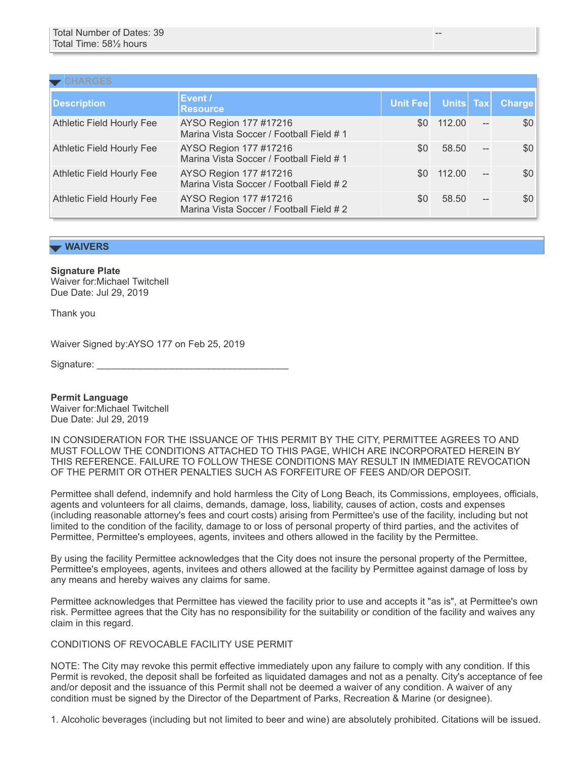| $\blacktriangleright$ CHARGES    |                                                                    |          |           |                          |               |  |  |  |
|----------------------------------|--------------------------------------------------------------------|----------|-----------|--------------------------|---------------|--|--|--|
| Description                      | Event /<br><b>Resource</b>                                         | Unit Fee | Units Tax |                          | <b>Charge</b> |  |  |  |
| <b>Athletic Field Hourly Fee</b> | AYSO Region 177 #17216<br>Marina Vista Soccer / Football Field #1  | \$0      | 112.00    | $\overline{\phantom{a}}$ | \$0           |  |  |  |
| <b>Athletic Field Hourly Fee</b> | AYSO Region 177 #17216<br>Marina Vista Soccer / Football Field #1  | \$0      | 58.50     |                          | \$0           |  |  |  |
| <b>Athletic Field Hourly Fee</b> | AYSO Region 177 #17216<br>Marina Vista Soccer / Football Field # 2 | \$0      | 112.00    | $\overline{a}$           | \$0           |  |  |  |
| <b>Athletic Field Hourly Fee</b> | AYSO Region 177 #17216<br>Marina Vista Soccer / Football Field #2  | \$0      | 58.50     | $\overline{\phantom{a}}$ | \$0           |  |  |  |

--

## **WAIVERS**

**Signature Plate**

Waiver for:Michael Twitchell Due Date: Jul 29, 2019

Thank you

Waiver Signed by:AYSO 177 on Feb 25, 2019

Signature:

**Permit Language** Waiver for:Michael Twitchell Due Date: Jul 29, 2019

IN CONSIDERATION FOR THE ISSUANCE OF THIS PERMIT BY THE CITY, PERMITTEE AGREES TO AND MUST FOLLOW THE CONDITIONS ATTACHED TO THIS PAGE, WHICH ARE INCORPORATED HEREIN BY THIS REFERENCE. FAILURE TO FOLLOW THESE CONDITIONS MAY RESULT IN IMMEDIATE REVOCATION OF THE PERMIT OR OTHER PENALTIES SUCH AS FORFEITURE OF FEES AND/OR DEPOSIT.

Permittee shall defend, indemnify and hold harmless the City of Long Beach, its Commissions, employees, officials, agents and volunteers for all claims, demands, damage, loss, liability, causes of action, costs and expenses (including reasonable attorney's fees and court costs) arising from Permittee's use of the facility, including but not limited to the condition of the facility, damage to or loss of personal property of third parties, and the activites of Permittee, Permittee's employees, agents, invitees and others allowed in the facility by the Permittee.

By using the facility Permittee acknowledges that the City does not insure the personal property of the Permittee, Permittee's employees, agents, invitees and others allowed at the facility by Permittee against damage of loss by any means and hereby waives any claims for same.

Permittee acknowledges that Permittee has viewed the facility prior to use and accepts it "as is", at Permittee's own risk. Permittee agrees that the City has no responsibility for the suitability or condition of the facility and waives any claim in this regard.

## CONDITIONS OF REVOCABLE FACILITY USE PERMIT

NOTE: The City may revoke this permit effective immediately upon any failure to comply with any condition. If this Permit is revoked, the deposit shall be forfeited as liquidated damages and not as a penalty. City's acceptance of fee and/or deposit and the issuance of this Permit shall not be deemed a waiver of any condition. A waiver of any condition must be signed by the Director of the Department of Parks, Recreation & Marine (or designee).

1. Alcoholic beverages (including but not limited to beer and wine) are absolutely prohibited. Citations will be issued.